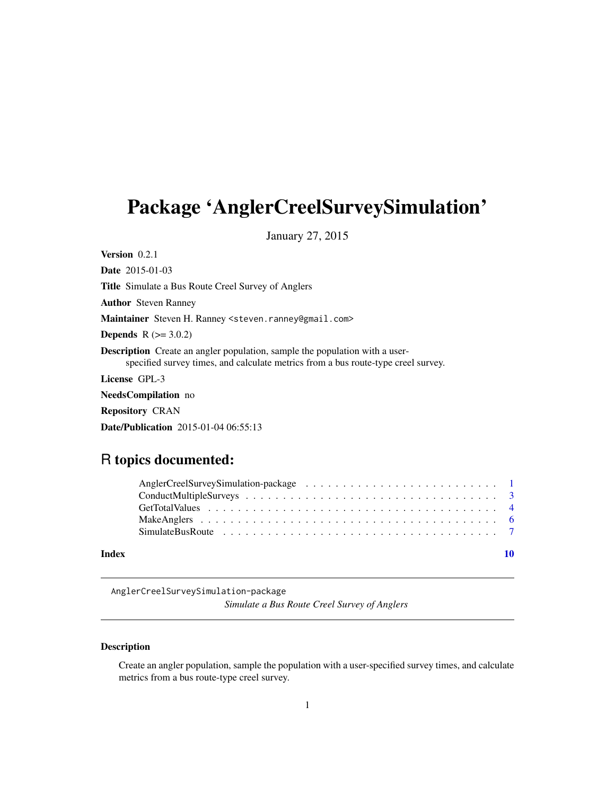## <span id="page-0-0"></span>Package 'AnglerCreelSurveySimulation'

January 27, 2015

Version 0.2.1 Date 2015-01-03 Title Simulate a Bus Route Creel Survey of Anglers Author Steven Ranney Maintainer Steven H. Ranney <steven.ranney@gmail.com> **Depends**  $R$  ( $> = 3.0.2$ ) Description Create an angler population, sample the population with a userspecified survey times, and calculate metrics from a bus route-type creel survey. License GPL-3 NeedsCompilation no Repository CRAN

### R topics documented:

Date/Publication 2015-01-04 06:55:13

| Index |  |
|-------|--|

AnglerCreelSurveySimulation-package

*Simulate a Bus Route Creel Survey of Anglers*

#### Description

Create an angler population, sample the population with a user-specified survey times, and calculate metrics from a bus route-type creel survey.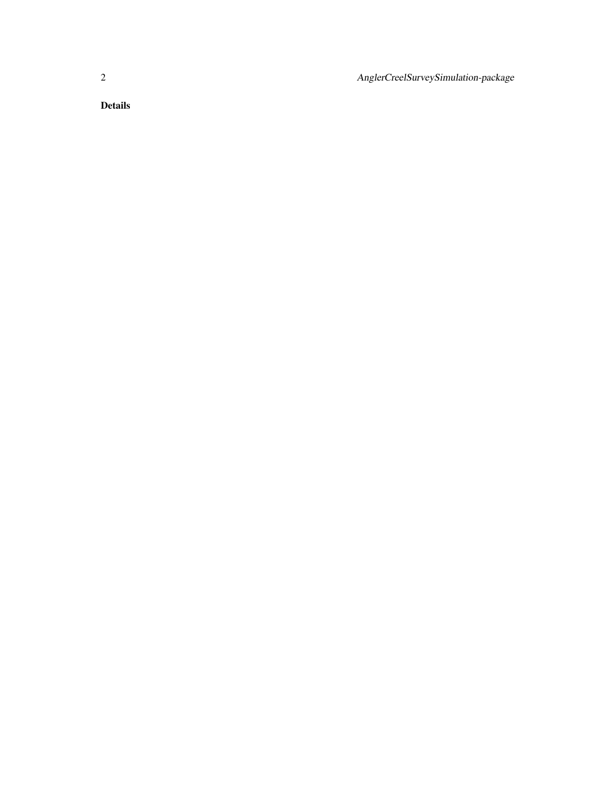2 AnglerCreelSurveySimulation-package

Details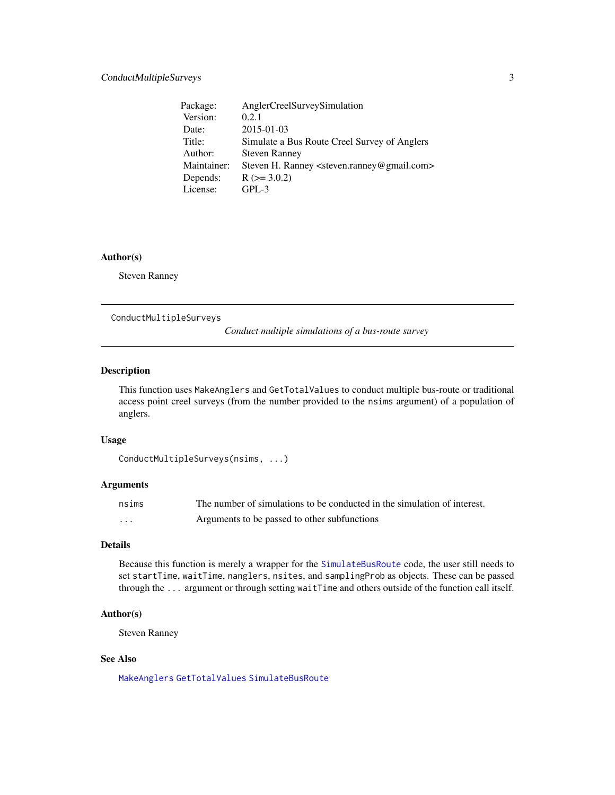<span id="page-2-0"></span>

| Package:    | AnglerCreelSurveySimulation                                          |
|-------------|----------------------------------------------------------------------|
| Version:    | 0.2.1                                                                |
| Date:       | $2015 - 01 - 03$                                                     |
| Title:      | Simulate a Bus Route Creel Survey of Anglers                         |
| Author:     | <b>Steven Ranney</b>                                                 |
| Maintainer: | Steven H. Ranney <steven.ranney@gmail.com></steven.ranney@gmail.com> |
| Depends:    | $R$ ( $>=$ 3.0.2)                                                    |
| License:    | $GPL-3$                                                              |

#### Author(s)

Steven Ranney

ConductMultipleSurveys

*Conduct multiple simulations of a bus-route survey*

#### Description

This function uses MakeAnglers and GetTotalValues to conduct multiple bus-route or traditional access point creel surveys (from the number provided to the nsims argument) of a population of anglers.

#### Usage

```
ConductMultipleSurveys(nsims, ...)
```
#### Arguments

| nsims    | The number of simulations to be conducted in the simulation of interest. |
|----------|--------------------------------------------------------------------------|
| $\cdots$ | Arguments to be passed to other subfunctions                             |

#### Details

Because this function is merely a wrapper for the [SimulateBusRoute](#page-6-1) code, the user still needs to set startTime, waitTime, nanglers, nsites, and samplingProb as objects. These can be passed through the ... argument or through setting waitTime and others outside of the function call itself.

#### Author(s)

Steven Ranney

#### See Also

[MakeAnglers](#page-5-1) [GetTotalValues](#page-3-1) [SimulateBusRoute](#page-6-1)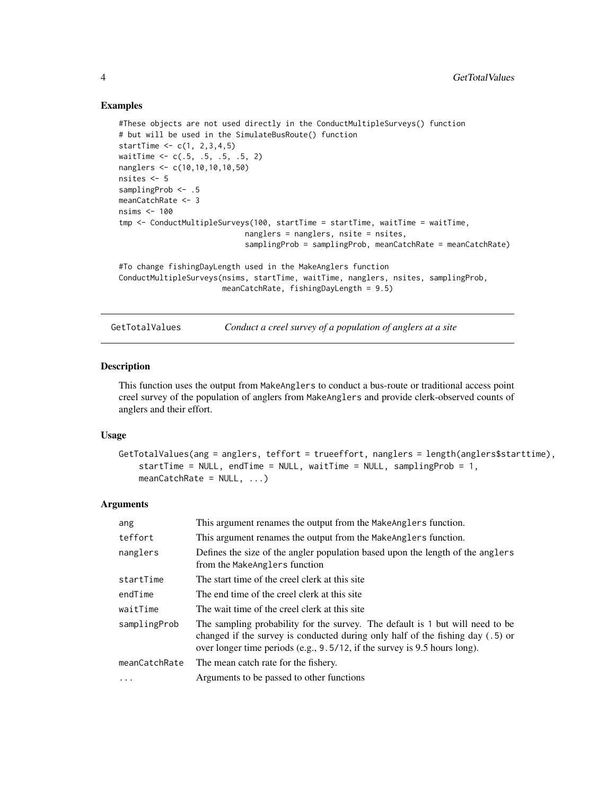#### Examples

```
#These objects are not used directly in the ConductMultipleSurveys() function
# but will be used in the SimulateBusRoute() function
startTime <-c(1, 2, 3, 4, 5)waitTime <- c(.5, .5, .5, .5, 2)
nanglers <- c(10,10,10,10,50)
nsites <- 5
samplingProb <- .5
meanCatchRate <- 3
nsims <- 100
tmp <- ConductMultipleSurveys(100, startTime = startTime, waitTime = waitTime,
                            nanglers = nanglers, nsite = nsites,
                            samplingProb = samplingProb, meanCatchRate = meanCatchRate)
#To change fishingDayLength used in the MakeAnglers function
ConductMultipleSurveys(nsims, startTime, waitTime, nanglers, nsites, samplingProb,
```

```
meanCatchRate, fishingDayLength = 9.5)
```
<span id="page-3-1"></span>GetTotalValues *Conduct a creel survey of a population of anglers at a site*

#### Description

This function uses the output from MakeAnglers to conduct a bus-route or traditional access point creel survey of the population of anglers from MakeAnglers and provide clerk-observed counts of anglers and their effort.

#### Usage

```
GetTotalValues(ang = anglers, teffort = trueeffort, nanglers = length(anglers$starttime),
    startTime = NULL, endTime = NULL, waitTime = NULL, samplingProb = 1,
   meanCatchRate = NULL, ...)
```
#### Arguments

| ang           | This argument renames the output from the MakeAnglers function.                                                                                                                                                                                |
|---------------|------------------------------------------------------------------------------------------------------------------------------------------------------------------------------------------------------------------------------------------------|
| teffort       | This argument renames the output from the MakeAnglers function.                                                                                                                                                                                |
| nanglers      | Defines the size of the angler population based upon the length of the anglers<br>from the MakeAnglers function                                                                                                                                |
| startTime     | The start time of the creel clerk at this site                                                                                                                                                                                                 |
| endTime       | The end time of the creel clerk at this site.                                                                                                                                                                                                  |
| waitTime      | The wait time of the creel clerk at this site                                                                                                                                                                                                  |
| samplingProb  | The sampling probability for the survey. The default is 1 but will need to be<br>changed if the survey is conducted during only half of the fishing day $(.5)$ or<br>over longer time periods (e.g., 9.5/12, if the survey is 9.5 hours long). |
| meanCatchRate | The mean catch rate for the fishery.                                                                                                                                                                                                           |
| $\ddotsc$     | Arguments to be passed to other functions                                                                                                                                                                                                      |

<span id="page-3-0"></span>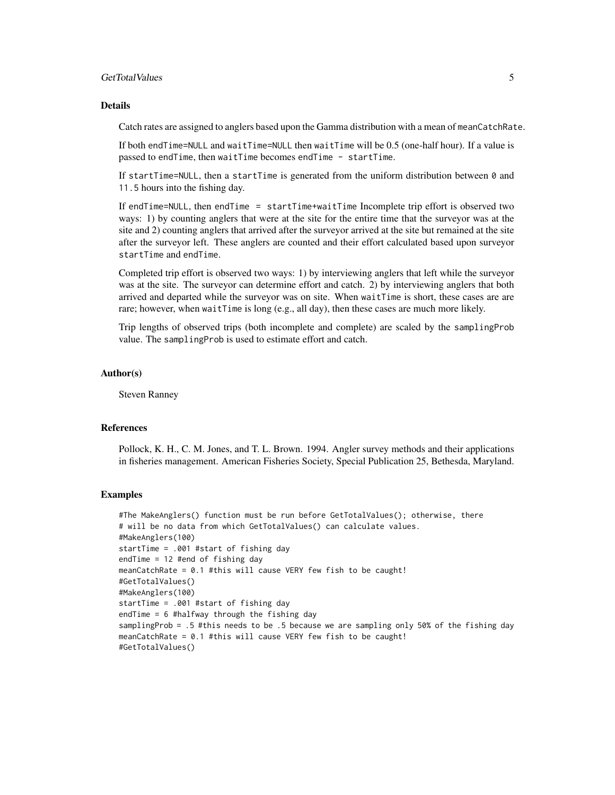#### GetTotalValues 5

#### Details

Catch rates are assigned to anglers based upon the Gamma distribution with a mean of meanCatchRate.

If both endTime=NULL and waitTime=NULL then waitTime will be 0.5 (one-half hour). If a value is passed to endTime, then waitTime becomes endTime - startTime.

If startTime=NULL, then a startTime is generated from the uniform distribution between 0 and 11.5 hours into the fishing day.

If endTime=NULL, then endTime = startTime+waitTime Incomplete trip effort is observed two ways: 1) by counting anglers that were at the site for the entire time that the surveyor was at the site and 2) counting anglers that arrived after the surveyor arrived at the site but remained at the site after the surveyor left. These anglers are counted and their effort calculated based upon surveyor startTime and endTime.

Completed trip effort is observed two ways: 1) by interviewing anglers that left while the surveyor was at the site. The surveyor can determine effort and catch. 2) by interviewing anglers that both arrived and departed while the surveyor was on site. When waitTime is short, these cases are are rare; however, when waitTime is long (e.g., all day), then these cases are much more likely.

Trip lengths of observed trips (both incomplete and complete) are scaled by the samplingProb value. The samplingProb is used to estimate effort and catch.

#### Author(s)

Steven Ranney

#### References

Pollock, K. H., C. M. Jones, and T. L. Brown. 1994. Angler survey methods and their applications in fisheries management. American Fisheries Society, Special Publication 25, Bethesda, Maryland.

#### Examples

```
#The MakeAnglers() function must be run before GetTotalValues(); otherwise, there
# will be no data from which GetTotalValues() can calculate values.
#MakeAnglers(100)
startTime = .001 #start of fishing day
endTime = 12 #end of fishing day
meanCatchRate = 0.1 #this will cause VERY few fish to be caught!
#GetTotalValues()
#MakeAnglers(100)
startTime = .001 #start of fishing day
endTime = 6 #halfway through the fishing day
samplingProb = .5 #this needs to be .5 because we are sampling only 50% of the fishing day
meanCatchRate = 0.1 #this will cause VERY few fish to be caught!
#GetTotalValues()
```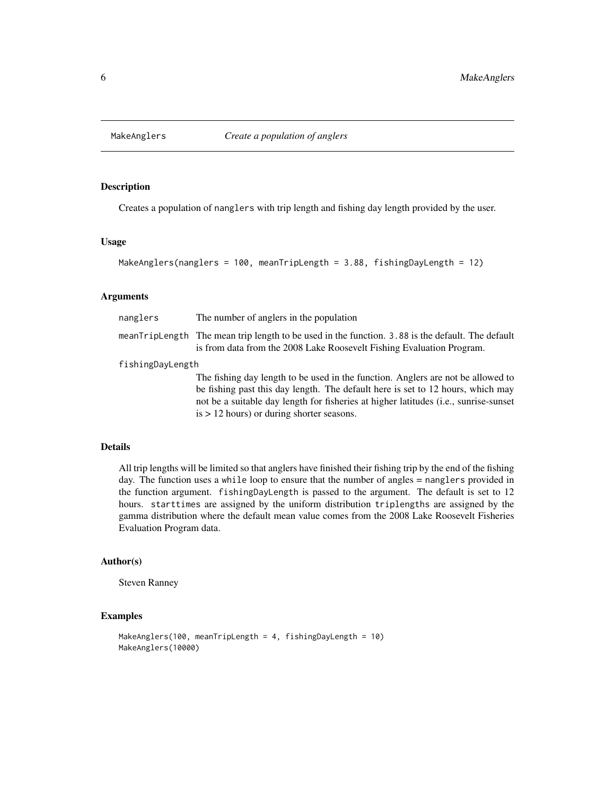<span id="page-5-1"></span><span id="page-5-0"></span>

#### Description

Creates a population of nanglers with trip length and fishing day length provided by the user.

#### Usage

MakeAnglers(nanglers = 100, meanTripLength = 3.88, fishingDayLength = 12)

#### Arguments

| nanglers         | The number of anglers in the population                                                                                                                                   |  |  |  |
|------------------|---------------------------------------------------------------------------------------------------------------------------------------------------------------------------|--|--|--|
|                  | meanTripLength The mean trip length to be used in the function. 3.88 is the default. The default<br>is from data from the 2008 Lake Roosevelt Fishing Evaluation Program. |  |  |  |
| fishingDayLength |                                                                                                                                                                           |  |  |  |
|                  | The fishing day length to be used in the function. Anglers are not be allowed to                                                                                          |  |  |  |
|                  | be fishing past this day length. The default here is set to 12 hours, which may                                                                                           |  |  |  |
|                  | not be a suitable day length for fisheries at higher latitudes ( <i>i.e.</i> , sunrise-sunset                                                                             |  |  |  |

is > 12 hours) or during shorter seasons.

Details

All trip lengths will be limited so that anglers have finished their fishing trip by the end of the fishing day. The function uses a while loop to ensure that the number of angles = nanglers provided in the function argument. fishingDayLength is passed to the argument. The default is set to 12 hours. starttimes are assigned by the uniform distribution triplengths are assigned by the gamma distribution where the default mean value comes from the 2008 Lake Roosevelt Fisheries Evaluation Program data.

#### Author(s)

Steven Ranney

#### Examples

```
MakeAnglers(100, meanTripLength = 4, fishingDayLength = 10)
MakeAnglers(10000)
```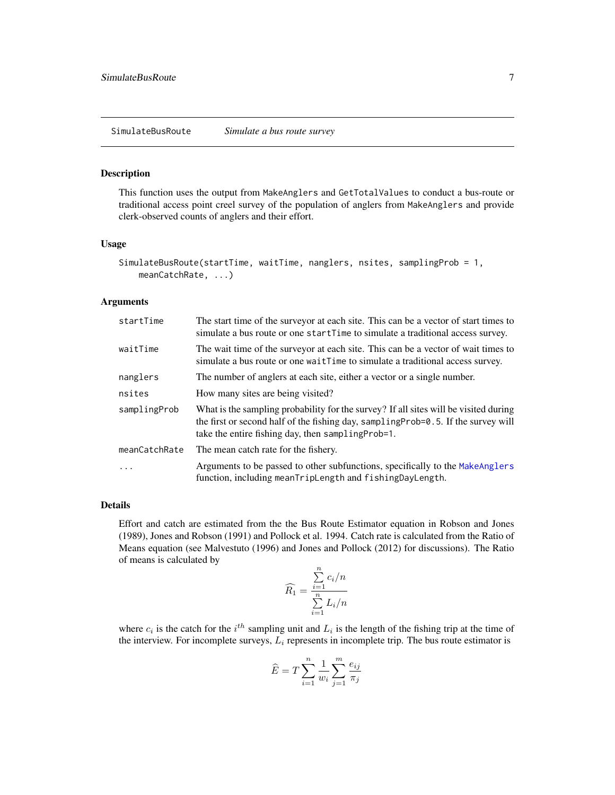#### <span id="page-6-1"></span><span id="page-6-0"></span>Description

This function uses the output from MakeAnglers and GetTotalValues to conduct a bus-route or traditional access point creel survey of the population of anglers from MakeAnglers and provide clerk-observed counts of anglers and their effort.

#### Usage

```
SimulateBusRoute(startTime, waitTime, nanglers, nsites, samplingProb = 1,
   meanCatchRate, ...)
```
#### Arguments

| startTime     | The start time of the surveyor at each site. This can be a vector of start times to<br>simulate a bus route or one startTime to simulate a traditional access survey.                                                            |
|---------------|----------------------------------------------------------------------------------------------------------------------------------------------------------------------------------------------------------------------------------|
| waitTime      | The wait time of the surveyor at each site. This can be a vector of wait times to<br>simulate a bus route or one waitTime to simulate a traditional access survey.                                                               |
| nanglers      | The number of anglers at each site, either a vector or a single number.                                                                                                                                                          |
| nsites        | How many sites are being visited?                                                                                                                                                                                                |
| samplingProb  | What is the sampling probability for the survey? If all sites will be visited during<br>the first or second half of the fishing day, sampling Prob=0.5. If the survey will<br>take the entire fishing day, then sampling Prob=1. |
| meanCatchRate | The mean catch rate for the fishery.                                                                                                                                                                                             |
| $\ddots$ .    | Arguments to be passed to other subfunctions, specifically to the MakeAnglers<br>function, including meanTripLength and fishingDayLength.                                                                                        |

#### Details

Effort and catch are estimated from the the Bus Route Estimator equation in Robson and Jones (1989), Jones and Robson (1991) and Pollock et al. 1994. Catch rate is calculated from the Ratio of Means equation (see Malvestuto (1996) and Jones and Pollock (2012) for discussions). The Ratio of means is calculated by

$$
\widehat{R_1} = \frac{\sum\limits_{i=1}^{n} c_i/n}{\sum\limits_{i=1}^{n} L_i/n}
$$

where  $c_i$  is the catch for the  $i^{th}$  sampling unit and  $L_i$  is the length of the fishing trip at the time of the interview. For incomplete surveys,  $L_i$  represents in incomplete trip. The bus route estimator is

$$
\widehat{E} = T \sum_{i=1}^n \frac{1}{w_i} \sum_{j=1}^m \frac{e_{ij}}{\pi_j}
$$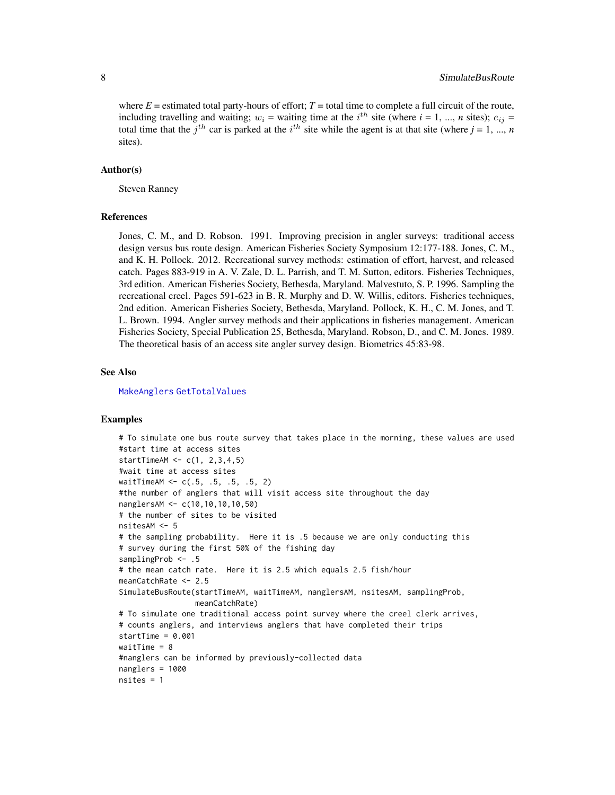<span id="page-7-0"></span>where  $E =$  estimated total party-hours of effort;  $T =$  total time to complete a full circuit of the route, including travelling and waiting;  $w_i$  = waiting time at the  $i^{th}$  site (where  $i = 1, ..., n$  sites);  $e_{ij}$  = total time that the  $j<sup>th</sup>$  car is parked at the  $i<sup>th</sup>$  site while the agent is at that site (where  $j = 1, ..., n$ sites).

#### Author(s)

Steven Ranney

#### References

Jones, C. M., and D. Robson. 1991. Improving precision in angler surveys: traditional access design versus bus route design. American Fisheries Society Symposium 12:177-188. Jones, C. M., and K. H. Pollock. 2012. Recreational survey methods: estimation of effort, harvest, and released catch. Pages 883-919 in A. V. Zale, D. L. Parrish, and T. M. Sutton, editors. Fisheries Techniques, 3rd edition. American Fisheries Society, Bethesda, Maryland. Malvestuto, S. P. 1996. Sampling the recreational creel. Pages 591-623 in B. R. Murphy and D. W. Willis, editors. Fisheries techniques, 2nd edition. American Fisheries Society, Bethesda, Maryland. Pollock, K. H., C. M. Jones, and T. L. Brown. 1994. Angler survey methods and their applications in fisheries management. American Fisheries Society, Special Publication 25, Bethesda, Maryland. Robson, D., and C. M. Jones. 1989. The theoretical basis of an access site angler survey design. Biometrics 45:83-98.

#### See Also

[MakeAnglers](#page-5-1) [GetTotalValues](#page-3-1)

#### Examples

```
# To simulate one bus route survey that takes place in the morning, these values are used
#start time at access sites
startTimeAM <- c(1, 2,3,4,5)
#wait time at access sites
waitTimeAM <- c(.5, .5, .5, .5, 2)
#the number of anglers that will visit access site throughout the day
nanglersAM <- c(10,10,10,10,50)
# the number of sites to be visited
nsitesAM <- 5
# the sampling probability. Here it is .5 because we are only conducting this
# survey during the first 50% of the fishing day
samplingProb <- .5
# the mean catch rate. Here it is 2.5 which equals 2.5 fish/hour
meanCatchRate <- 2.5
SimulateBusRoute(startTimeAM, waitTimeAM, nanglersAM, nsitesAM, samplingProb,
                 meanCatchRate)
# To simulate one traditional access point survey where the creel clerk arrives,
# counts anglers, and interviews anglers that have completed their trips
startTime = 0.001
waitTime = 8#nanglers can be informed by previously-collected data
nanglers = 1000
nsites = 1
```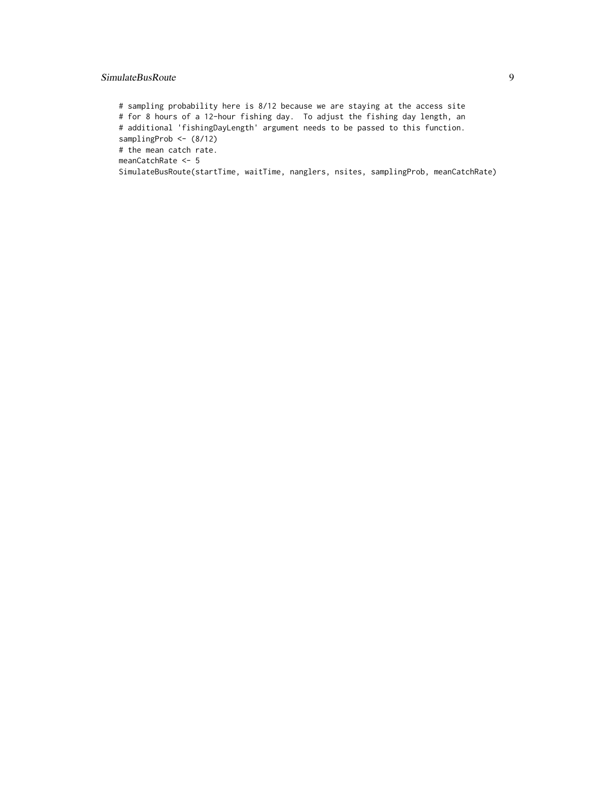#### SimulateBusRoute 9

# sampling probability here is 8/12 because we are staying at the access site # for 8 hours of a 12-hour fishing day. To adjust the fishing day length, an # additional 'fishingDayLength' argument needs to be passed to this function. samplingProb <- (8/12) # the mean catch rate. meanCatchRate <- 5

SimulateBusRoute(startTime, waitTime, nanglers, nsites, samplingProb, meanCatchRate)